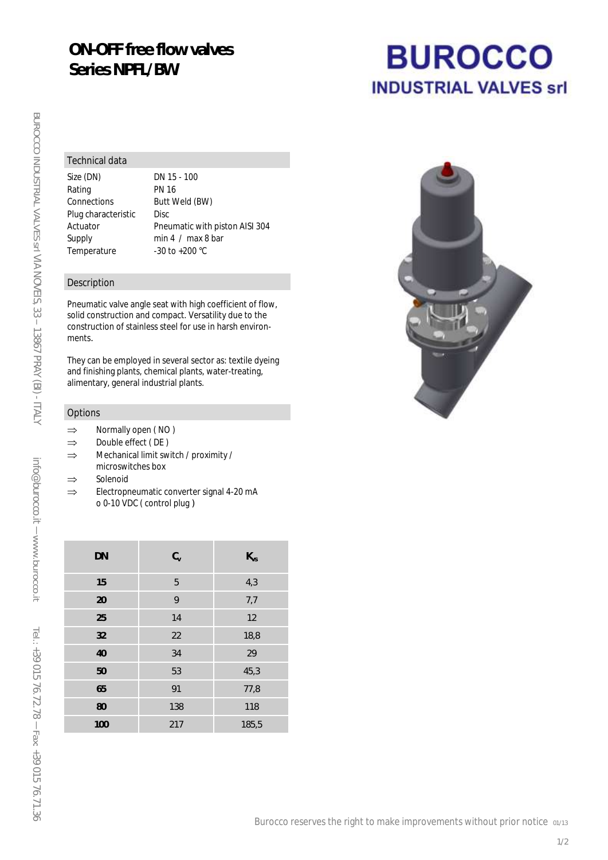## **ON-OFF free flow valves Series NPFL/BW**

#### Technical data

Size (DN) DN 15 - 100 Rating PN 16 Connections Butt Weld (BW) Plug characteristic Disc Temperature -30 to +200 °C

Actuator Pneumatic with piston AISI 304 Supply min 4 / max 8 bar

### Description

Pneumatic valve angle seat with high coefficient of flow, solid construction and compact. Versatility due to the construction of stainless steel for use in harsh environments.

They can be employed in several sector as: textile dyeing and finishing plants, chemical plants, water-treating, alimentary, general industrial plants.

#### **Options**

- $\Rightarrow$  Normally open (NO)
- $\Rightarrow$  Double effect (DE)
- $\Rightarrow$  Mechanical limit switch / proximity / microswitches box
- $\Rightarrow$  Solenoid
- $\Rightarrow$  Electropneumatic converter signal 4-20 mA o 0-10 VDC ( control plug )

| <b>DN</b> | $C_{V}$ | $K_{VS}$ |
|-----------|---------|----------|
| 15        | 5       | 4,3      |
| 20        | 9       | 7,7      |
| 25        | 14      | 12       |
| 32        | 22      | 18,8     |
| 40        | 34      | 29       |
| 50        | 53      | 45,3     |
| 65        | 91      | 77,8     |
| 80        | 138     | 118      |
| 100       | 217     | 185,5    |